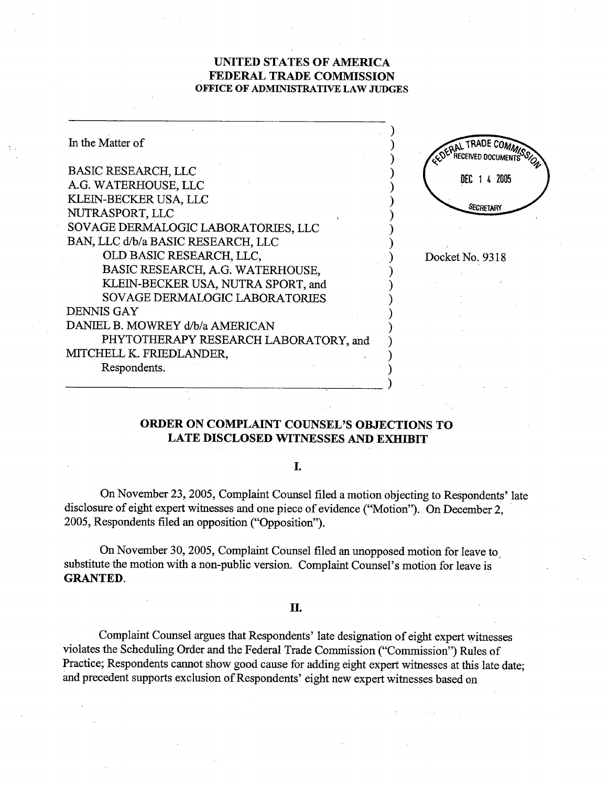### UNTED STATES OF AMRICA FEDERAL TRADE COMMISSION OFFICE OF ADMINISTRATIVE LAW JUDGES

| In the Matter of                      | <b>TRADE COMA</b> |
|---------------------------------------|-------------------|
| <b>BASIC RESEARCH, LLC</b>            |                   |
| A.G. WATERHOUSE, LLC                  | 2005<br>DEC       |
| KLEIN-BECKER USA, LLC                 |                   |
| NUTRASPORT, LLC                       | <b>SECRETARY</b>  |
| SOVAGE DERMALOGIC LABORATORIES, LLC   |                   |
| BAN, LLC d/b/a BASIC RESEARCH, LLC    |                   |
| OLD BASIC RESEARCH, LLC,              | Docket No. 9318   |
| BASIC RESEARCH, A.G. WATERHOUSE,      |                   |
| KLEIN-BECKER USA, NUTRA SPORT, and    |                   |
| <b>SOVAGE DERMALOGIC LABORATORIES</b> |                   |
| <b>DENNIS GAY</b>                     |                   |
| DANIEL B. MOWREY d/b/a AMERICAN       |                   |
| PHYTOTHERAPY RESEARCH LABORATORY, and |                   |
| MITCHELL K. FRIEDLANDER,              |                   |
| Respondents.                          |                   |
|                                       |                   |

## ORDER ON COMPLAINT COUNSEL'S OBJECTIONS TO LATE DISCLOSED WITNESSES AND EXHIBIT

### I.

On November 23, 2005, Complaint Counsel filed a motion objecting to Respondents' late disclosure of eight expert witnesses and one piece of evidence ("Motion"). On December 2, 2005, Respondents filed an opposition ("Opposition").

On November 30, 2005, Complaint Counsel filed an unopposed motion for leave to substitute the motion with a non-public version. Complaint Counsel's motion for leave is **GRANTED.** 

#### II.

Complaint Counsel argues that Respondents' late designation of eight expert witnesses violates the Scheduling Order and the Federal Trade Commission ("Commission") Rules of Practice; Respondents cannot show good cause for adding eight expert witnesses at this late date; and precedent supports exclusion of Respondents' eight new expert witnesses based on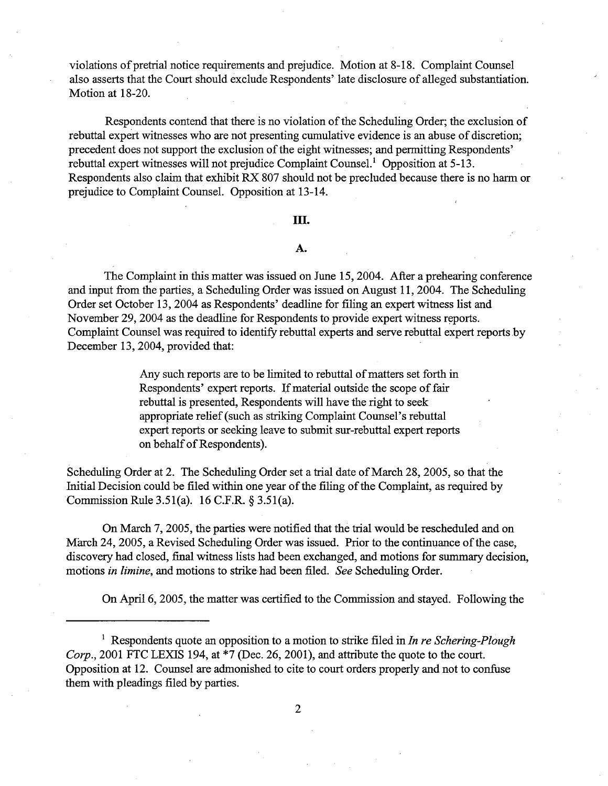violations of pretrial notice requirements and prejudice. Motion at 8-18. Complaint Counsel also asserts that the Court should exclude Respondents' late disclosure of alleged substantiation. Motion at 18-20.

Respondents contend that there is no violation of the Scheduling Order; the exclusion of rebuttal expert witnesses who are not presenting cumulative evidence is an abuse of discretion; precedent does not support the exclusion of the eight witnesses; and permitting Respondents' rebuttal expert witnesses will not prejudice Complaint Counsel.<sup>1</sup> Opposition at  $5-13$ . Respondents also claim that exhibit RX 807 should not be precluded because there is no harm or prejudice to Complaint Counsel. Opposition at 13-14.

### III.

### A.

The Complaint in this matter was issued on June 15, 2004. After a prehearing conference and input from the parties, a Scheduling Order was issued on August 11, 2004. The Scheduling Order set October 13, 2004 as Respondents' deadline for filing an expert witness list and November 29, 2004 as the deadline for Respondents to provide expert witness reports. Complaint Counsel was required to identify rebuttal experts and serve rebuttal expert reports.<br>December 13, 2004, provided that:

> Any such reports are to be limted to rebuttal of matters set forth in Respondents' expert reports. If material outside the scope of fair rebuttal is presented, Respondents will have the right to seek appropriate relief (such as striking Complaint Counsel's rebuttal expert reports or seeking leave to submit sur-rebuttal expert reports on behalf of Respondents).

Scheduling Order at 2. The Scheduling Order set a trial date of March 28, 2005, so that the Initial Decision could be filed within one year of the filing of the Complaint, as required by Commission Rule 3.51(a).  $16$  C.F.R. § 3.51(a).

On March 7, 2005, the parties were notified that the trial would be rescheduled and on March 24, 2005, a Revised Scheduling Order was issued. Prior to the continuance of the case, discovery had closed, final witness lists had been exchanged, and motions for summary decision, motions in limine, and motions to strike had been filed. See Scheduling Order.

On April 6, 2005, the matter was certified to the Commission and stayed. Following the

<sup>1</sup> Respondents quote an opposition to a motion to strike filed in In re Schering-Plough Corp., 2001 FTC LEXIS 194, at  $*7$  (Dec. 26, 2001), and attribute the quote to the court. Opposition at 12. Counsel are admonished to cite to court orders properly and not to confuse them with pleadings filed by paries.

 $\overline{2}$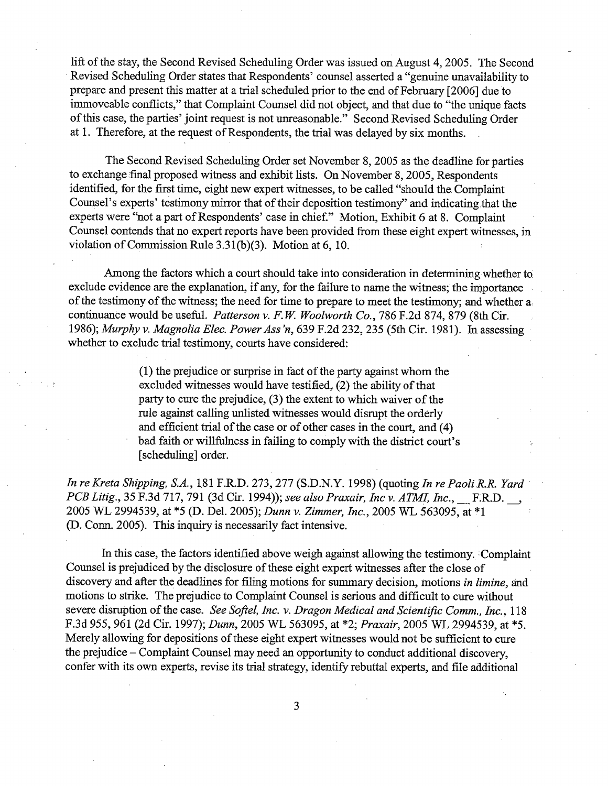lift of the stay, the Second Revised Scheduling Order was issued on August 4, 2005. The Second Revised Scheduling Order states that Respondents' counsel asserted a " genuine unavailability to prepare and present this matter at a trial scheduled prior to the end of February [2006] due to immoveable conflicts," that Complaint Counsel did not object, and that due to "the unique facts ofthis case, the paries' joint request is not uneasonable. " Second Revised Schedulig Order at 1. Therefore, at the request of Respondents, the tral was delayed by six months.

The Second Revised Scheduling Order set November 8, 2005 as the deadline for paries to exchange final proposed witness and exhibit lists. On November 8, 2005, Respondents identified, for the first time, eight new expert witnesses, to be called "should the Complaint Counsel's experts' testimony mirror that of their deposition testimony' and indicating that the experts were "not a part of Respondents' case in chief." Motion, Exhibit 6 at 8. Complaint Counsel contends that no expert reports have been provided from these eight expert witnesses, in violation of Commission Rule 3.31(b)(3). Motion at 6, 10.

Among the factors which a court should take into consideration in determining whether to exclude evidence are the explanation, if any, for the failure to name the witness; the importance of the testimony of the witness; the need for time to prepare to meet the testimony; and whether  $a_i$ continuance would be useful. Patterson v. F.W. Woolworth Co., 786 F.2d 874, 879 (8th Cir. 1986); Murphy v. Magnolia Elec. Power Ass 'n, 639 F.2d 232, 235 (5th Cir. 1981). In assessing. whether to exclude trial testimony, courts have considered:

> $(1)$  the prejudice or surprise in fact of the party against whom the excluded witnesses would have testified, (2) the ability of that party to cure the prejudice,  $(3)$  the extent to which waiver of the rule against calling unisted witnesses would disrupt the orderly and efficient trial of the case or of other cases in the court, and (4) bad faith or willfulness in failing to comply with the district court's (scheduling) order.

In re Kreta Shipping, S.A., 181 F.R.D. 273, 277 (S.D.N.Y. 1998) (quoting In re Paoli R.R. Yard PCB Litig., 35 F.3d 717, 791 (3d Cir. 1994)); see also Praxair, Inc v. ATMI, Inc., F.R.D., 2005 WL 2994539, at \*5 (D. Del. 2005); Dunn v. Zimmer, Inc., 2005 WL 563095, at \*1 (D. Conn. 2005). This inquiry is necessarily fact intensive.

In this case, the factors identified above weigh against allowing the testimony. Complaint Counsel is prejudiced by the disclosure of these eight expert witnesses after the close of discovery and after the deadlines for filing motions for summary decision, motions in limine, and motions to strike. The prejudice to Complaint Counsel is serious and difficult to cure without severe disruption of the case. See Softel, Inc. v. Dragon Medical and Scientific Comm., Inc., 118 F.3d 955, 961 (2d Cir. 1997); Dunn, 2005 WL 563095, at \*2; Praxair, 2005 WL 2994539, at \*5. Merely allowing for depositions of these eight expert witnesses would not be sufficient to cure the prejudice  $-$  Complaint Counsel may need an opportunity to conduct additional discovery. confer with its own experts, revise its trial strategy, identify rebuttal experts, and file additional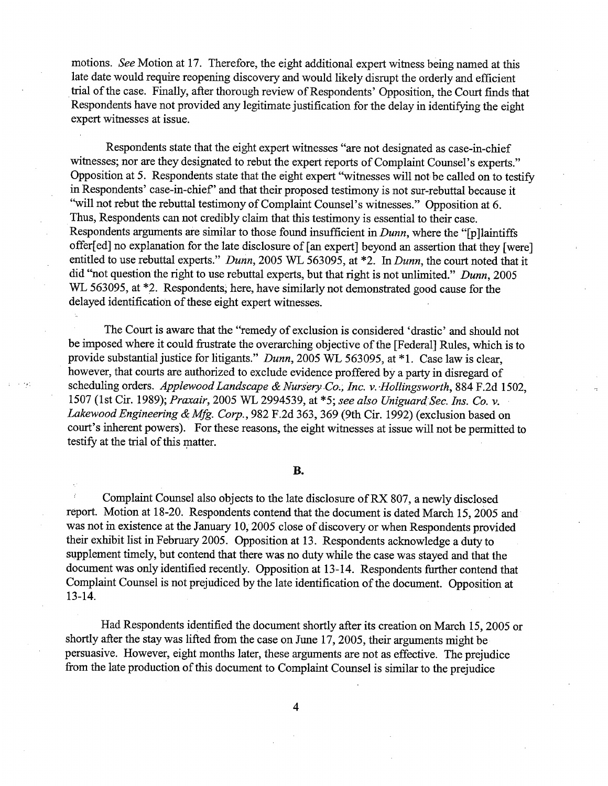motions. See Motion at 17. Therefore, the eight additional expert witness being named at this late date would require reopening discovery and would likely disrupt the orderly and efficient trial of the case. Finally, after thorough review of Respondents' Opposition, the Court finds that Respondents have not provided any legitimate justification for the delay in identifying the eight expert witnesses at issue.

Respondents state that the eight expert witnesses "are not designated as case-in-chief witnesses; nor are they designated to rebut the expert reports of Complaint Counsel's experts." Opposition at 5. Respondents state that the eight expert "witnesses will not be called on to testify in Respondents' case-in-chief' and that their proposed testimony is not sur-rebuttal because it "will not rebut the rebuttal testimony of Complaint Counsel's witnesses." Opposition at 6. Thus, Respondents can not credibly claim that this testimony is essential to their case. Respondents arguments are similar to those found insufficient in  $Dunn$ , where the " $[pllaintiffs]$ offer[ed] no explanation for the late disclosure of [an expert] beyond an assertion that they [were] entitled to use rebuttal experts." Dunn, 2005 WL 563095, at  $*2$ . In Dunn, the court noted that it did "not question the right to use rebuttal experts, but that right is not unlimited." Dunn, 2005 WL 563095, at  $*2$ . Respondents, here, have similarly not demonstrated good cause for the delayed identification of these eight expert witnesses.

The Court is aware that the "remedy of exclusion is considered 'drastic' and should not be imposed where it could frustrate the overarching objective of the [Federal] Rules, which is to provide substantial justice for litigants." Dunn, 2005 WL 563095, at  $*1$ . Case law is clear, however, that courts are authorized to exclude evidence proffered by a party in disregard of scheduling orders. Applewood Landscape & Nursery Co., Inc. v. Hollingsworth, 884 F.2d 1502, 1507 (1st Cir. 1989); Praxair, 2005 WL 2994539, at \*5; see also Uniguard Sec. Ins. Co. v. Lakewood Engineering & Mfg. Corp., 982 F.2d 363, 369 (9th Cir. 1992) (exclusion based on court's inherent powers). For these reasons, the eight witnesses at issue will not be permitted to testify at the trial of this matter.

#### **B.**

Complaint Counsel also objects to the late disclosure ofRX 807, a newly disclosed report. Motion at 18-20. Respondents contend that the document is dated March 15, 2005 was not in existence at the January 10, 2005 close of discovery or when Respondents provided their exhibit list in February 2005. Opposition at 13. Respondents acknowledge a duty to supplement timely, but contend that there was no duty while the case was stayed and that the document was only identified recently. Opposition at 13-14. Respondents further contend that Complaint Counsel is not prejudiced by the late identification of the document. Opposition at 13- 14.

Had Respondents identified the document shortly after its creation on March 15 2005 or shortly after the stay was lifted from the case on June  $17$ ,  $2005$ , their arguments might be persuasive. However, eight months later, these arguments are not as effective. The prejudice from the late production of ths document to Complaint Counsel is simlar to the prejudice

 $\overline{\mathbf{4}}$